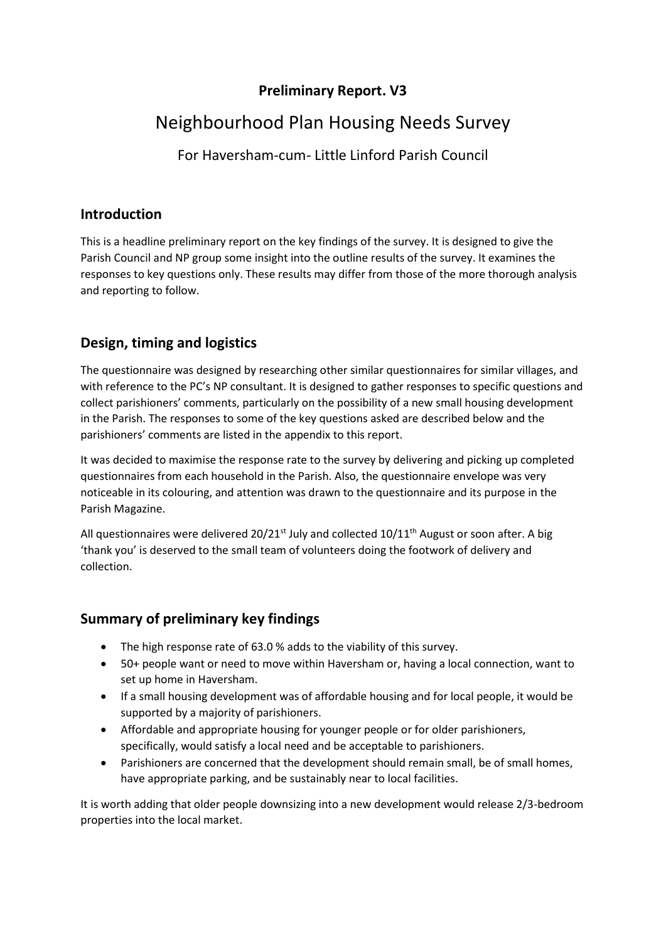## Preliminary Report. V3

# Neighbourhood Plan Housing Needs Survey

For Haversham-cum- Little Linford Parish Council

#### Introduction

This is a headline preliminary report on the key findings of the survey. It is designed to give the Parish Council and NP group some insight into the outline results of the survey. It examines the responses to key questions only. These results may differ from those of the more thorough analysis and reporting to follow.

## Design, timing and logistics

The questionnaire was designed by researching other similar questionnaires for similar villages, and with reference to the PC's NP consultant. It is designed to gather responses to specific questions and collect parishioners' comments, particularly on the possibility of a new small housing development in the Parish. The responses to some of the key questions asked are described below and the parishioners' comments are listed in the appendix to this report.

It was decided to maximise the response rate to the survey by delivering and picking up completed questionnaires from each household in the Parish. Also, the questionnaire envelope was very noticeable in its colouring, and attention was drawn to the questionnaire and its purpose in the Parish Magazine.

All questionnaires were delivered 20/21<sup>st</sup> July and collected 10/11<sup>th</sup> August or soon after. A big 'thank you' is deserved to the small team of volunteers doing the footwork of delivery and collection.

#### Summary of preliminary key findings

- The high response rate of 63.0 % adds to the viability of this survey.
- 50+ people want or need to move within Haversham or, having a local connection, want to set up home in Haversham.
- If a small housing development was of affordable housing and for local people, it would be supported by a majority of parishioners.
- Affordable and appropriate housing for younger people or for older parishioners, specifically, would satisfy a local need and be acceptable to parishioners.
- Parishioners are concerned that the development should remain small, be of small homes, have appropriate parking, and be sustainably near to local facilities.

It is worth adding that older people downsizing into a new development would release 2/3-bedroom properties into the local market.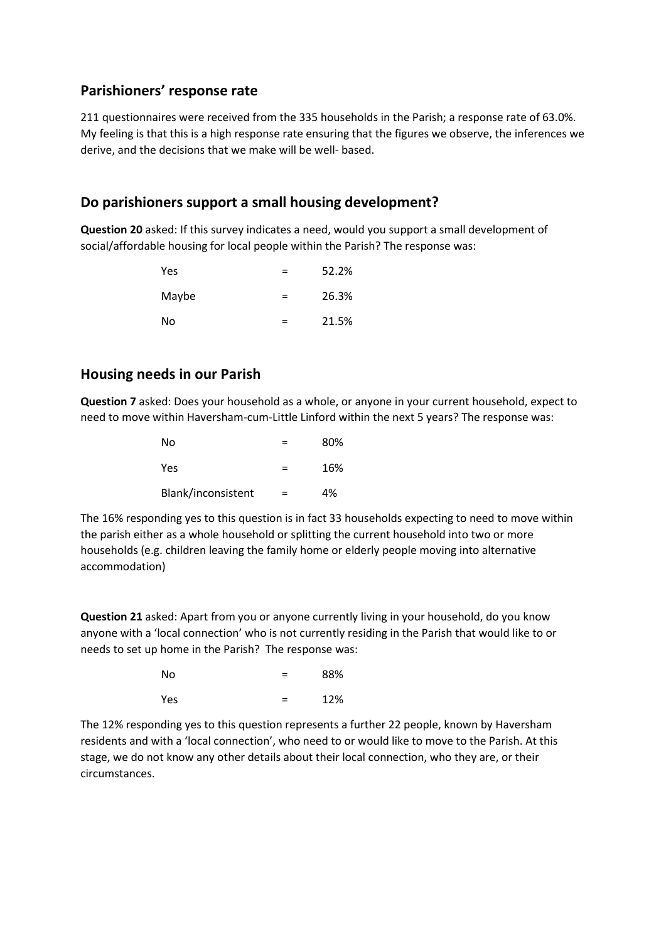#### Parishioners' response rate

211 questionnaires were received from the 335 households in the Parish; a response rate of 63.0%. My feeling is that this is a high response rate ensuring that the figures we observe, the inferences we derive, and the decisions that we make will be well- based.

#### Do parishioners support a small housing development?

Question 20 asked: If this survey indicates a need, would you support a small development of social/affordable housing for local people within the Parish? The response was:

| Yes.  | $=$ | 52.2% |
|-------|-----|-------|
| Maybe | $=$ | 26.3% |
| No    | $=$ | 21.5% |

#### Housing needs in our Parish

Question 7 asked: Does your household as a whole, or anyone in your current household, expect to need to move within Haversham-cum-Little Linford within the next 5 years? The response was:

| No<br>Yes          | $=$ | 80%<br>16% |
|--------------------|-----|------------|
| Blank/inconsistent | $=$ | 4%         |

The 16% responding yes to this question is in fact 33 households expecting to need to move within the parish either as a whole household or splitting the current household into two or more households (e.g. children leaving the family home or elderly people moving into alternative accommodation)

Question 21 asked: Apart from you or anyone currently living in your household, do you know anyone with a 'local connection' who is not currently residing in the Parish that would like to or needs to set up home in the Parish? The response was:

| No  | $=$ | 88% |
|-----|-----|-----|
| Yes | $=$ | 12% |

The 12% responding yes to this question represents a further 22 people, known by Haversham residents and with a 'local connection', who need to or would like to move to the Parish. At this stage, we do not know any other details about their local connection, who they are, or their circumstances.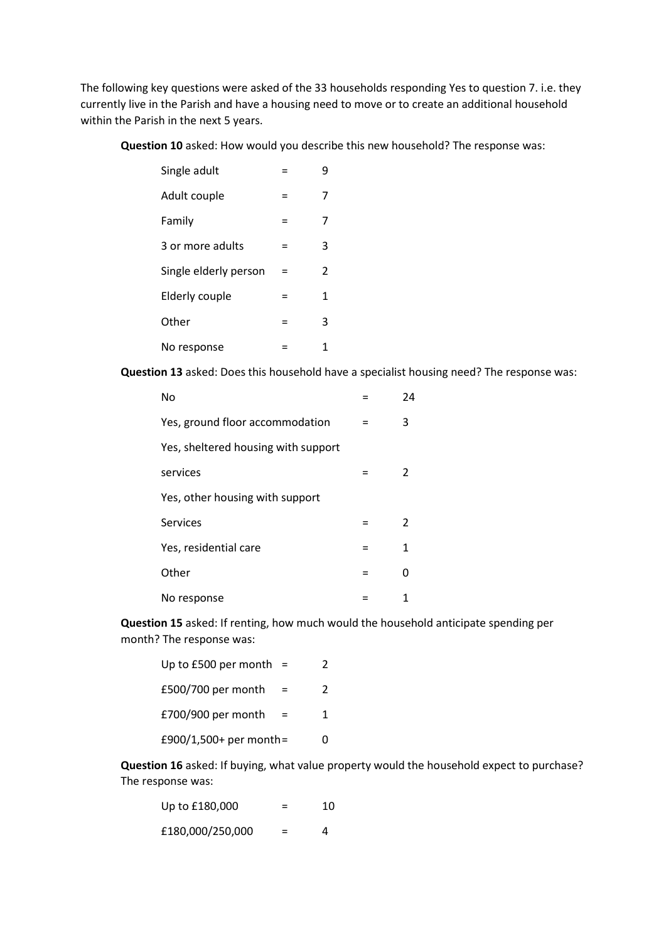The following key questions were asked of the 33 households responding Yes to question 7. i.e. they currently live in the Parish and have a housing need to move or to create an additional household within the Parish in the next 5 years.

Question 10 asked: How would you describe this new household? The response was:

| Single adult          |     | 9 |
|-----------------------|-----|---|
| Adult couple          | Ξ   | 7 |
| Family                | $=$ |   |
| 3 or more adults      | Ξ   | 3 |
| Single elderly person | Ξ   | 2 |
| Elderly couple        | =   | 1 |
| Other                 | =   | 3 |
| No response           | =   | 1 |

Question 13 asked: Does this household have a specialist housing need? The response was:

| No                                  | 24 |
|-------------------------------------|----|
| Yes, ground floor accommodation     | 3  |
| Yes, sheltered housing with support |    |
| services                            | 2  |
| Yes, other housing with support     |    |
| <b>Services</b>                     | 2  |
| Yes, residential care               | 1  |
| Other                               |    |
| No response                         |    |

Question 15 asked: If renting, how much would the household anticipate spending per month? The response was:

| Up to $£500$ per month = |   |
|--------------------------|---|
| £500/700 per month       | 2 |
| £700/900 per month       | 1 |
| £900/1,500+ per month=   | n |

Question 16 asked: If buying, what value property would the household expect to purchase? The response was:

| Up to £180,000   | ⋍ | 10 |
|------------------|---|----|
| £180,000/250,000 |   | Δ  |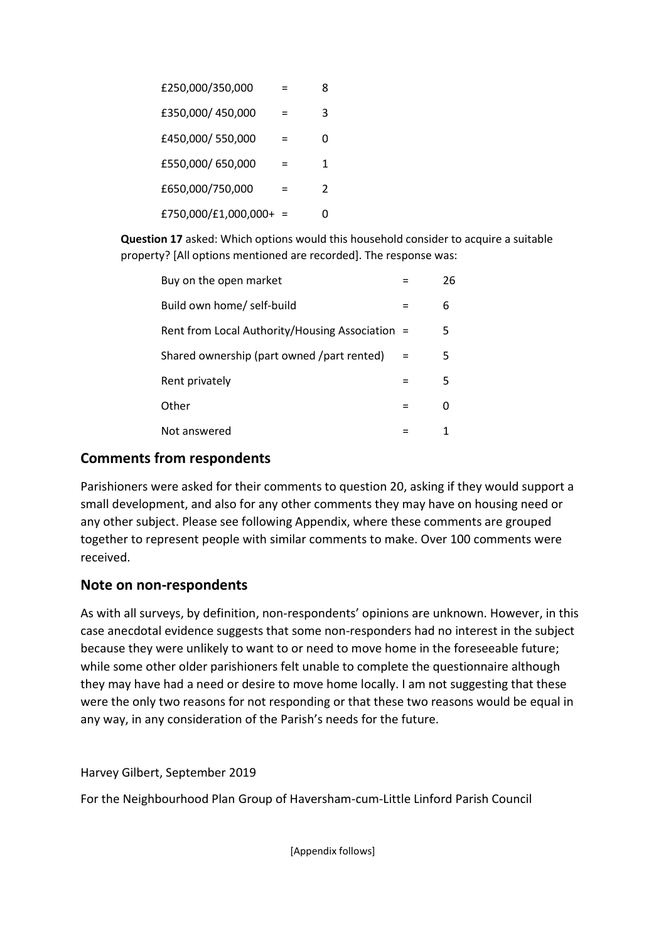| £250,000/350,000       |   |               |
|------------------------|---|---------------|
| £350,000/450,000       | = | З             |
| £450,000/550,000       | = | O             |
| £550,000/650,000       | = | 1             |
| £650,000/750,000       | = | $\mathcal{L}$ |
| £750,000/£1,000,000+ = |   |               |

Question 17 asked: Which options would this household consider to acquire a suitable property? [All options mentioned are recorded]. The response was:

| Buy on the open market                          | 26 |
|-------------------------------------------------|----|
| Build own home/ self-build                      | 6  |
| Rent from Local Authority/Housing Association = | 5. |
| Shared ownership (part owned /part rented)      | 5. |
| Rent privately                                  | 5  |
| Other                                           |    |
| Not answered                                    |    |

#### Comments from respondents

Parishioners were asked for their comments to question 20, asking if they would support a small development, and also for any other comments they may have on housing need or any other subject. Please see following Appendix, where these comments are grouped together to represent people with similar comments to make. Over 100 comments were received.

#### Note on non-respondents

As with all surveys, by definition, non-respondents' opinions are unknown. However, in this case anecdotal evidence suggests that some non-responders had no interest in the subject because they were unlikely to want to or need to move home in the foreseeable future; while some other older parishioners felt unable to complete the questionnaire although they may have had a need or desire to move home locally. I am not suggesting that these were the only two reasons for not responding or that these two reasons would be equal in any way, in any consideration of the Parish's needs for the future.

Harvey Gilbert, September 2019

For the Neighbourhood Plan Group of Haversham-cum-Little Linford Parish Council

[Appendix follows]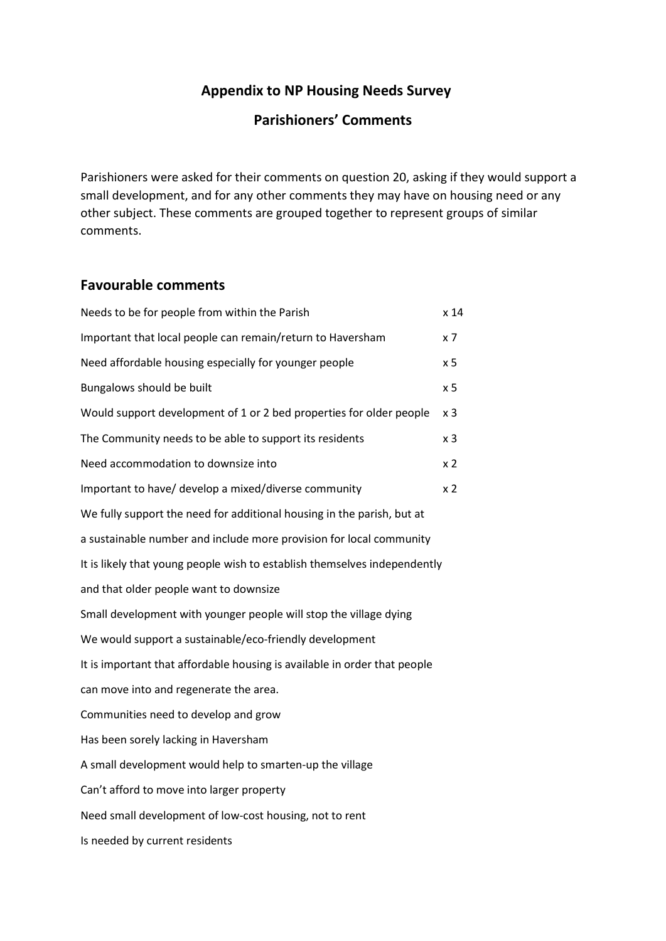## Appendix to NP Housing Needs Survey

## Parishioners' Comments

Parishioners were asked for their comments on question 20, asking if they would support a small development, and for any other comments they may have on housing need or any other subject. These comments are grouped together to represent groups of similar comments.

#### Favourable comments

| Needs to be for people from within the Parish                             | x <sub>14</sub>  |
|---------------------------------------------------------------------------|------------------|
| Important that local people can remain/return to Haversham                | $x \overline{7}$ |
| Need affordable housing especially for younger people                     | x <sub>5</sub>   |
| Bungalows should be built                                                 | x <sub>5</sub>   |
| Would support development of 1 or 2 bed properties for older people       | x <sub>3</sub>   |
| The Community needs to be able to support its residents                   | x <sub>3</sub>   |
| Need accommodation to downsize into                                       | x <sub>2</sub>   |
| Important to have/ develop a mixed/diverse community                      | x <sub>2</sub>   |
| We fully support the need for additional housing in the parish, but at    |                  |
| a sustainable number and include more provision for local community       |                  |
| It is likely that young people wish to establish themselves independently |                  |
| and that older people want to downsize                                    |                  |
| Small development with younger people will stop the village dying         |                  |
| We would support a sustainable/eco-friendly development                   |                  |
| It is important that affordable housing is available in order that people |                  |
| can move into and regenerate the area.                                    |                  |
| Communities need to develop and grow                                      |                  |
| Has been sorely lacking in Haversham                                      |                  |
| A small development would help to smarten-up the village                  |                  |
| Can't afford to move into larger property                                 |                  |
| Need small development of low-cost housing, not to rent                   |                  |
| Is needed by current residents                                            |                  |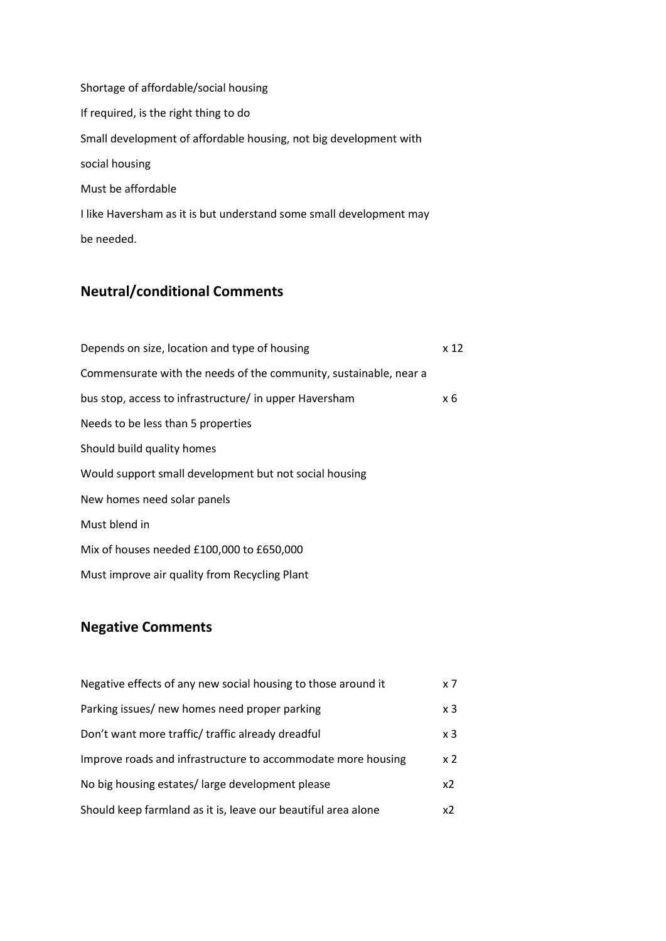Shortage of affordable/social housing If required, is the right thing to do Small development of affordable housing, not big development with social housing Must be affordable I like Haversham as it is but understand some small development may be needed.

## Neutral/conditional Comments

| Depends on size, location and type of housing                     | x 12 |
|-------------------------------------------------------------------|------|
| Commensurate with the needs of the community, sustainable, near a |      |
| bus stop, access to infrastructure/ in upper Haversham            | x 6  |
| Needs to be less than 5 properties                                |      |
| Should build quality homes                                        |      |
| Would support small development but not social housing            |      |
| New homes need solar panels                                       |      |
| Must blend in                                                     |      |
| Mix of houses needed £100,000 to £650,000                         |      |
| Must improve air quality from Recycling Plant                     |      |

## Negative Comments

| Negative effects of any new social housing to those around it | x 7            |
|---------------------------------------------------------------|----------------|
| Parking issues/ new homes need proper parking                 | x 3            |
| Don't want more traffic/ traffic already dreadful             | x 3            |
| Improve roads and infrastructure to accommodate more housing  | x <sub>2</sub> |
| No big housing estates/large development please               | x2             |
| Should keep farmland as it is, leave our beautiful area alone | x2             |